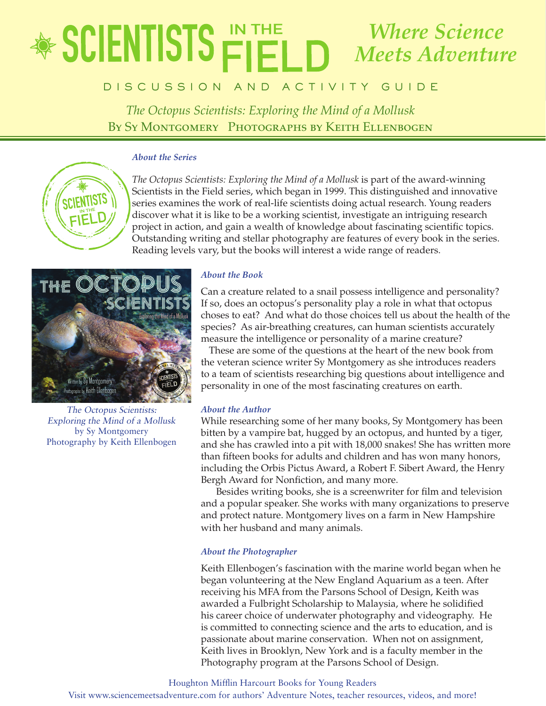# e de un c a t o r ' s G u i d e vol a t o r ' s G u i d e vol a t o r ' s G u i d e vol a t o r ' s G u i d e *The Octopus Scientists: Exploring the Mind of a Mollusk Where Science Meets Adventure*

# **BISCUSSION AND ACTIVITY GUIDE**

*The Octopus Scientists: Exploring the Mind of a Mollusk* By Sy Montgomery Photographs by Keith Ellenbogen

# *About the Series*



*The Octopus Scientists: Exploring the Mind of a Mollusk* is part of the award-winning Scientists in the Field series, which began in 1999. This distinguished and innovative series examines the work of real-life scientists doing actual research. Young readers discover what it is like to be a working scientist, investigate an intriguing research project in action, and gain a wealth of knowledge about fascinating scientific topics. Outstanding writing and stellar photography are features of every book in the series. Reading levels vary, but the books will interest a wide range of readers.



The Octopus Scientists: Exploring the Mind of a Mollusk by Sy Montgomery Photography by Keith Ellenbogen

# *About the Book*

Can a creature related to a snail possess intelligence and personality? If so, does an octopus's personality play a role in what that octopus choses to eat? And what do those choices tell us about the health of the species? As air-breathing creatures, can human scientists accurately measure the intelligence or personality of a marine creature?

These are some of the questions at the heart of the new book from the veteran science writer Sy Montgomery as she introduces readers to a team of scientists researching big questions about intelligence and personality in one of the most fascinating creatures on earth.

# *About the Author*

While researching some of her many books, Sy Montgomery has been bitten by a vampire bat, hugged by an octopus, and hunted by a tiger, and she has crawled into a pit with 18,000 snakes! She has written more than fifteen books for adults and children and has won many honors, including the Orbis Pictus Award, a Robert F. Sibert Award, the Henry Bergh Award for Nonfiction, and many more.

Besides writing books, she is a screenwriter for film and television and a popular speaker. She works with many organizations to preserve and protect nature. Montgomery lives on a farm in New Hampshire with her husband and many animals.

# *About the Photographer*

Keith Ellenbogen's fascination with the marine world began when he began volunteering at the New England Aquarium as a teen. After receiving his MFA from the Parsons School of Design, Keith was awarded a Fulbright Scholarship to Malaysia, where he solidified his career choice of underwater photography and videography. He is committed to connecting science and the arts to education, and is passionate about marine conservation. When not on assignment, Keith lives in Brooklyn, New York and is a faculty member in the Photography program at the Parsons School of Design.

#### Houghton Mifflin Harcourt Books for Young Readers

Visit www.sciencemeetsadventure.com for authors' Adventure Notes, teacher resources, videos, and more!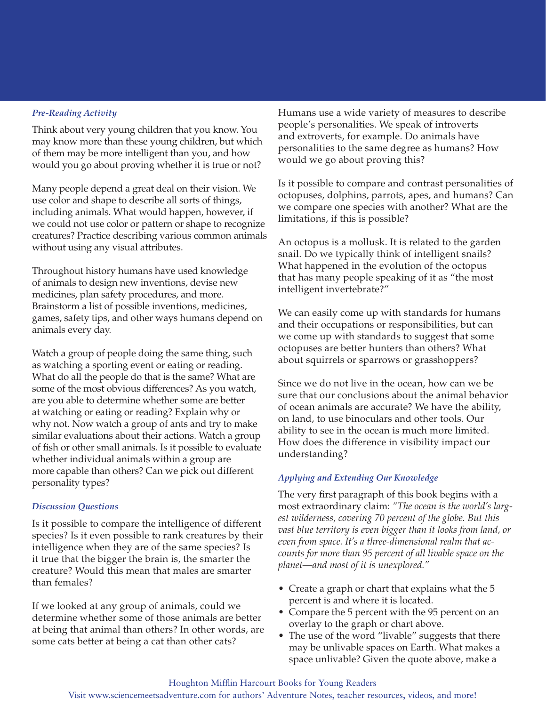# *Pre-Reading Activity*

Think about very young children that you know. You may know more than these young children, but which of them may be more intelligent than you, and how would you go about proving whether it is true or not?

Many people depend a great deal on their vision. We use color and shape to describe all sorts of things, including animals. What would happen, however, if we could not use color or pattern or shape to recognize creatures? Practice describing various common animals without using any visual attributes.

Throughout history humans have used knowledge of animals to design new inventions, devise new medicines, plan safety procedures, and more. Brainstorm a list of possible inventions, medicines, games, safety tips, and other ways humans depend on animals every day.

Watch a group of people doing the same thing, such as watching a sporting event or eating or reading. What do all the people do that is the same? What are some of the most obvious differences? As you watch, are you able to determine whether some are better at watching or eating or reading? Explain why or why not. Now watch a group of ants and try to make similar evaluations about their actions. Watch a group of fish or other small animals. Is it possible to evaluate whether individual animals within a group are more capable than others? Can we pick out different personality types?

# *Discussion Questions*

Is it possible to compare the intelligence of different species? Is it even possible to rank creatures by their intelligence when they are of the same species? Is it true that the bigger the brain is, the smarter the creature? Would this mean that males are smarter than females?

If we looked at any group of animals, could we determine whether some of those animals are better at being that animal than others? In other words, are some cats better at being a cat than other cats?

Humans use a wide variety of measures to describe people's personalities. We speak of introverts and extroverts, for example. Do animals have personalities to the same degree as humans? How would we go about proving this?

Is it possible to compare and contrast personalities of octopuses, dolphins, parrots, apes, and humans? Can we compare one species with another? What are the limitations, if this is possible?

An octopus is a mollusk. It is related to the garden snail. Do we typically think of intelligent snails? What happened in the evolution of the octopus that has many people speaking of it as "the most intelligent invertebrate?"

We can easily come up with standards for humans and their occupations or responsibilities, but can we come up with standards to suggest that some octopuses are better hunters than others? What about squirrels or sparrows or grasshoppers?

Since we do not live in the ocean, how can we be sure that our conclusions about the animal behavior of ocean animals are accurate? We have the ability, on land, to use binoculars and other tools. Our ability to see in the ocean is much more limited. How does the difference in visibility impact our understanding?

# *Applying and Extending Our Knowledge*

The very first paragraph of this book begins with a most extraordinary claim: *"The ocean is the world's largest wilderness, covering 70 percent of the globe. But this vast blue territory is even bigger than it looks from land, or even from space. It's a three-dimensional realm that accounts for more than 95 percent of all livable space on the planet—and most of it is unexplored."*

- Create a graph or chart that explains what the 5 percent is and where it is located.
- Compare the 5 percent with the 95 percent on an overlay to the graph or chart above.
- The use of the word "livable" suggests that there may be unlivable spaces on Earth. What makes a space unlivable? Given the quote above, make a

### Visit www.sciencemeetsadventure.com for authors' Adventure Notes, teacher resources, videos, and more!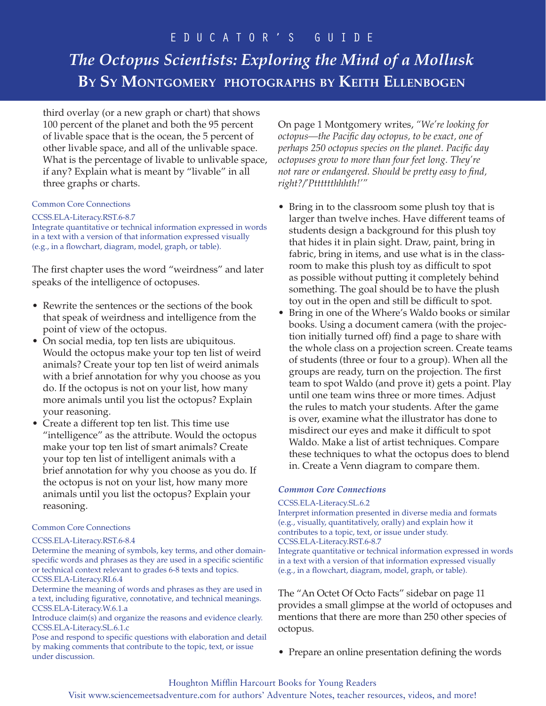# E D U C A T O R ' S G U I D E

# *The Octopus Scientists: Exploring the Mind of a Mollusk* **By Sy Montgomery photographs by Keith Ellenbogen**

third overlay (or a new graph or chart) that shows 100 percent of the planet and both the 95 percent of livable space that is the ocean, the 5 percent of other livable space, and all of the unlivable space. What is the percentage of livable to unlivable space, if any? Explain what is meant by "livable" in all three graphs or charts.

### Common Core Connections

#### CCSS.ELA-Literacy.RST.6-8.7

Integrate quantitative or technical information expressed in words in a text with a version of that information expressed visually (e.g., in a flowchart, diagram, model, graph, or table).

The first chapter uses the word "weirdness" and later speaks of the intelligence of octopuses.

- Rewrite the sentences or the sections of the book that speak of weirdness and intelligence from the point of view of the octopus.
- On social media, top ten lists are ubiquitous. Would the octopus make your top ten list of weird animals? Create your top ten list of weird animals with a brief annotation for why you choose as you do. If the octopus is not on your list, how many more animals until you list the octopus? Explain your reasoning.
- Create a different top ten list. This time use "intelligence" as the attribute. Would the octopus make your top ten list of smart animals? Create your top ten list of intelligent animals with a brief annotation for why you choose as you do. If the octopus is not on your list, how many more animals until you list the octopus? Explain your reasoning.

# Common Core Connections

#### CCSS.ELA-Literacy.RST.6-8.4

Determine the meaning of symbols, key terms, and other domainspecific words and phrases as they are used in a specific scientific or technical context relevant to grades 6-8 texts and topics. CCSS.ELA-Literacy.RI.6.4

Determine the meaning of words and phrases as they are used in a text, including figurative, connotative, and technical meanings. CCSS.ELA-Literacy.W.6.1.a

Introduce claim(s) and organize the reasons and evidence clearly. CCSS.ELA-Literacy.SL.6.1.c

Pose and respond to specific questions with elaboration and detail by making comments that contribute to the topic, text, or issue under discussion.

On page 1 Montgomery writes, *"We're looking for octopus—the Pacific day octopus, to be exact, one of perhaps 250 octopus species on the planet. Pacific day octopuses grow to more than four feet long. They're not rare or endangered. Should be pretty easy to find, right?/'Ptttttthhhth!'"*

- Bring in to the classroom some plush toy that is larger than twelve inches. Have different teams of students design a background for this plush toy that hides it in plain sight. Draw, paint, bring in fabric, bring in items, and use what is in the classroom to make this plush toy as difficult to spot as possible without putting it completely behind something. The goal should be to have the plush toy out in the open and still be difficult to spot.
- Bring in one of the Where's Waldo books or similar books. Using a document camera (with the projection initially turned off) find a page to share with the whole class on a projection screen. Create teams of students (three or four to a group). When all the groups are ready, turn on the projection. The first team to spot Waldo (and prove it) gets a point. Play until one team wins three or more times. Adjust the rules to match your students. After the game is over, examine what the illustrator has done to misdirect our eyes and make it difficult to spot Waldo. Make a list of artist techniques. Compare these techniques to what the octopus does to blend in. Create a Venn diagram to compare them.

# *Common Core Connections*

#### CCSS.ELA-Literacy.SL.6.2

Interpret information presented in diverse media and formats (e.g., visually, quantitatively, orally) and explain how it contributes to a topic, text, or issue under study. CCSS.ELA-Literacy.RST.6-8.7

Integrate quantitative or technical information expressed in words in a text with a version of that information expressed visually (e.g., in a flowchart, diagram, model, graph, or table).

The "An Octet Of Octo Facts" sidebar on page 11 provides a small glimpse at the world of octopuses and mentions that there are more than 250 other species of octopus.

• Prepare an online presentation defining the words

# Houghton Mifflin Harcourt Books for Young Readers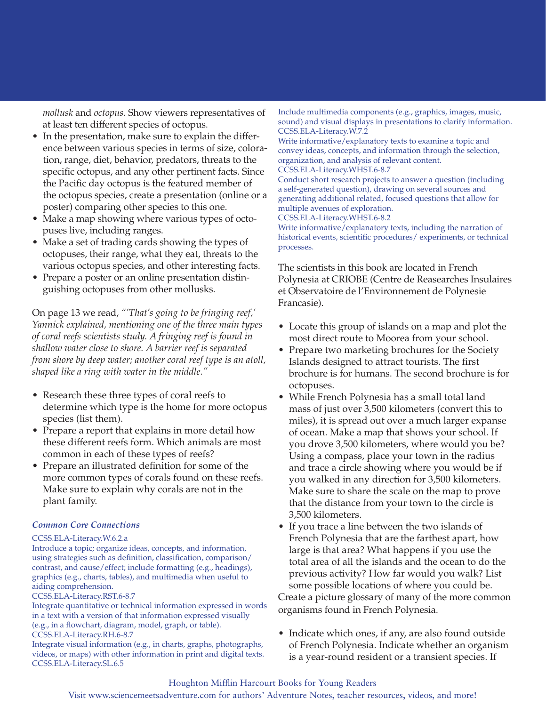*mollusk* and *octopus*. Show viewers representatives of at least ten different species of octopus.

- In the presentation, make sure to explain the difference between various species in terms of size, coloration, range, diet, behavior, predators, threats to the specific octopus, and any other pertinent facts. Since the Pacific day octopus is the featured member of the octopus species, create a presentation (online or a poster) comparing other species to this one.
- Make a map showing where various types of octopuses live, including ranges.
- Make a set of trading cards showing the types of octopuses, their range, what they eat, threats to the various octopus species, and other interesting facts.
- Prepare a poster or an online presentation distinguishing octopuses from other mollusks.

On page 13 we read, *"'That's going to be fringing reef,' Yannick explained, mentioning one of the three main types of coral reefs scientists study. A fringing reef is found in shallow water close to shore. A barrier reef is separated from shore by deep water; another coral reef type is an atoll, shaped like a ring with water in the middle."*

- Research these three types of coral reefs to determine which type is the home for more octopus species (list them).
- Prepare a report that explains in more detail how these different reefs form. Which animals are most common in each of these types of reefs?
- Prepare an illustrated definition for some of the more common types of corals found on these reefs. Make sure to explain why corals are not in the plant family.

#### *Common Core Connections*

#### CCSS.ELA-Literacy.W.6.2.a

Introduce a topic; organize ideas, concepts, and information, using strategies such as definition, classification, comparison/ contrast, and cause/effect; include formatting (e.g., headings), graphics (e.g., charts, tables), and multimedia when useful to aiding comprehension.

#### CCSS.ELA-Literacy.RST.6-8.7

Integrate quantitative or technical information expressed in words in a text with a version of that information expressed visually (e.g., in a flowchart, diagram, model, graph, or table). CCSS.ELA-Literacy.RH.6-8.7

Integrate visual information (e.g., in charts, graphs, photographs, videos, or maps) with other information in print and digital texts. CCSS.ELA-Literacy.SL.6.5

Include multimedia components (e.g., graphics, images, music, sound) and visual displays in presentations to clarify information. CCSS.ELA-Literacy.W.7.2

Write informative/explanatory texts to examine a topic and convey ideas, concepts, and information through the selection, organization, and analysis of relevant content.

#### CCSS.ELA-Literacy.WHST.6-8.7

Conduct short research projects to answer a question (including a self-generated question), drawing on several sources and generating additional related, focused questions that allow for multiple avenues of exploration.

CCSS.ELA-Literacy.WHST.6-8.2

Write informative/explanatory texts, including the narration of historical events, scientific procedures/ experiments, or technical processes.

The scientists in this book are located in French Polynesia at CRIOBE (Centre de Reasearches Insulaires et Observatoire de l'Environnement de Polynesie Francasie).

- Locate this group of islands on a map and plot the most direct route to Moorea from your school.
- Prepare two marketing brochures for the Society Islands designed to attract tourists. The first brochure is for humans. The second brochure is for octopuses.
- While French Polynesia has a small total land mass of just over 3,500 kilometers (convert this to miles), it is spread out over a much larger expanse of ocean. Make a map that shows your school. If you drove 3,500 kilometers, where would you be? Using a compass, place your town in the radius and trace a circle showing where you would be if you walked in any direction for 3,500 kilometers. Make sure to share the scale on the map to prove that the distance from your town to the circle is 3,500 kilometers.
- If you trace a line between the two islands of French Polynesia that are the farthest apart, how large is that area? What happens if you use the total area of all the islands and the ocean to do the previous activity? How far would you walk? List some possible locations of where you could be. Create a picture glossary of many of the more common

organisms found in French Polynesia.

• Indicate which ones, if any, are also found outside of French Polynesia. Indicate whether an organism is a year-round resident or a transient species. If

#### Houghton Mifflin Harcourt Books for Young Readers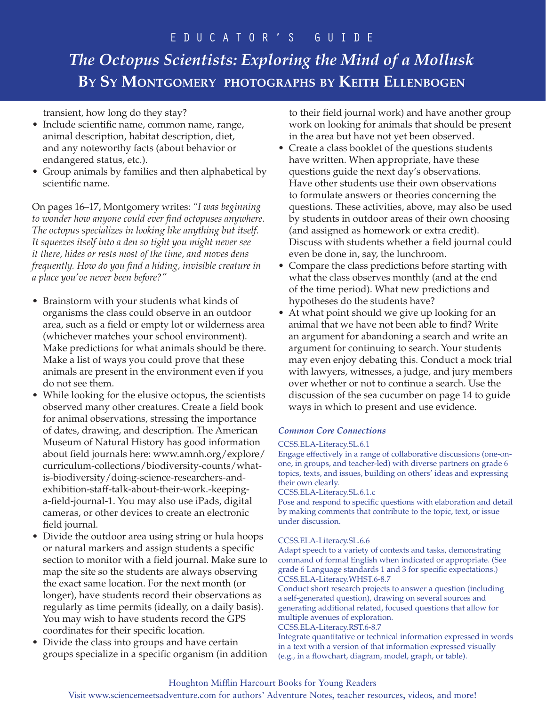# e d u c a t o r ' s G u i d e

# *The Octopus Scientists: Exploring the Mind of a Mollusk* **By Sy Montgomery photographs by Keith Ellenbogen**

transient, how long do they stay?

- Include scientific name, common name, range, animal description, habitat description, diet, and any noteworthy facts (about behavior or endangered status, etc.).
- Group animals by families and then alphabetical by scientific name.

On pages 16–17, Montgomery writes: *"I was beginning to wonder how anyone could ever find octopuses anywhere. The octopus specializes in looking like anything but itself. It squeezes itself into a den so tight you might never see it there, hides or rests most of the time, and moves dens frequently. How do you find a hiding, invisible creature in a place you've never been before?"* 

- Brainstorm with your students what kinds of organisms the class could observe in an outdoor area, such as a field or empty lot or wilderness area (whichever matches your school environment). Make predictions for what animals should be there. Make a list of ways you could prove that these animals are present in the environment even if you do not see them.
- While looking for the elusive octopus, the scientists observed many other creatures. Create a field book for animal observations, stressing the importance of dates, drawing, and description. The American Museum of Natural History has good information about field journals here: www.amnh.org/explore/ curriculum-collections/biodiversity-counts/whatis-biodiversity/doing-science-researchers-andexhibition-staff-talk-about-their-work.-keepinga-field-journal-1. You may also use iPads, digital cameras, or other devices to create an electronic field journal.
- Divide the outdoor area using string or hula hoops or natural markers and assign students a specific section to monitor with a field journal. Make sure to map the site so the students are always observing the exact same location. For the next month (or longer), have students record their observations as regularly as time permits (ideally, on a daily basis). You may wish to have students record the GPS coordinates for their specific location.
- Divide the class into groups and have certain groups specialize in a specific organism (in addition

to their field journal work) and have another group work on looking for animals that should be present in the area but have not yet been observed.

- Create a class booklet of the questions students have written. When appropriate, have these questions guide the next day's observations. Have other students use their own observations to formulate answers or theories concerning the questions. These activities, above, may also be used by students in outdoor areas of their own choosing (and assigned as homework or extra credit). Discuss with students whether a field journal could even be done in, say, the lunchroom.
- Compare the class predictions before starting with what the class observes monthly (and at the end of the time period). What new predictions and hypotheses do the students have?
- At what point should we give up looking for an animal that we have not been able to find? Write an argument for abandoning a search and write an argument for continuing to search. Your students may even enjoy debating this. Conduct a mock trial with lawyers, witnesses, a judge, and jury members over whether or not to continue a search. Use the discussion of the sea cucumber on page 14 to guide ways in which to present and use evidence.

# *Common Core Connections*

#### CCSS.ELA-Literacy.SL.6.1

Engage effectively in a range of collaborative discussions (one-onone, in groups, and teacher-led) with diverse partners on grade 6 topics, texts, and issues, building on others' ideas and expressing their own clearly.

CCSS.ELA-Literacy.SL.6.1.c

Pose and respond to specific questions with elaboration and detail by making comments that contribute to the topic, text, or issue under discussion.

#### CCSS.ELA-Literacy.SL.6.6

Adapt speech to a variety of contexts and tasks, demonstrating command of formal English when indicated or appropriate. (See grade 6 Language standards 1 and 3 for specific expectations.) CCSS.ELA-Literacy.WHST.6-8.7

Conduct short research projects to answer a question (including a self-generated question), drawing on several sources and generating additional related, focused questions that allow for multiple avenues of exploration.

CCSS.ELA-Literacy.RST.6-8.7

Integrate quantitative or technical information expressed in words in a text with a version of that information expressed visually (e.g., in a flowchart, diagram, model, graph, or table).

### Houghton Mifflin Harcourt Books for Young Readers

#### Visit www.sciencemeetsadventure.com for authors' Adventure Notes, teacher resources, videos, and more!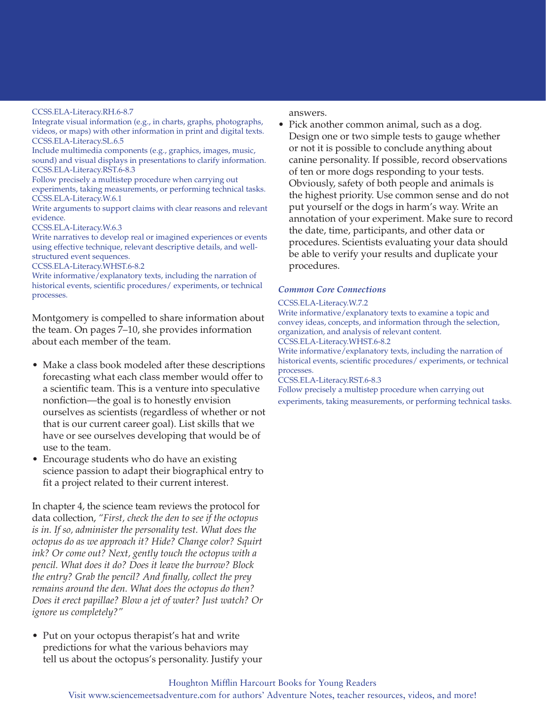#### CCSS.ELA-Literacy.RH.6-8.7

Integrate visual information (e.g., in charts, graphs, photographs, videos, or maps) with other information in print and digital texts. CCSS.ELA-Literacy.SL.6.5

Include multimedia components (e.g., graphics, images, music, sound) and visual displays in presentations to clarify information. CCSS.ELA-Literacy.RST.6-8.3

Follow precisely a multistep procedure when carrying out experiments, taking measurements, or performing technical tasks. CCSS.ELA-Literacy.W.6.1

Write arguments to support claims with clear reasons and relevant evidence.

CCSS.ELA-Literacy.W.6.3

Write narratives to develop real or imagined experiences or events using effective technique, relevant descriptive details, and wellstructured event sequences.

#### CCSS.ELA-Literacy.WHST.6-8.2

Write informative/explanatory texts, including the narration of historical events, scientific procedures/ experiments, or technical processes.

Montgomery is compelled to share information about the team. On pages 7–10, she provides information about each member of the team.

- Make a class book modeled after these descriptions forecasting what each class member would offer to a scientific team. This is a venture into speculative nonfiction—the goal is to honestly envision ourselves as scientists (regardless of whether or not that is our current career goal). List skills that we have or see ourselves developing that would be of use to the team.
- Encourage students who do have an existing science passion to adapt their biographical entry to fit a project related to their current interest.

In chapter 4, the science team reviews the protocol for data collection, *"First, check the den to see if the octopus is in. If so, administer the personality test. What does the octopus do as we approach it? Hide? Change color? Squirt ink? Or come out? Next, gently touch the octopus with a pencil. What does it do? Does it leave the burrow? Block the entry? Grab the pencil? And finally, collect the prey remains around the den. What does the octopus do then? Does it erect papillae? Blow a jet of water? Just watch? Or ignore us completely?"*

• Put on your octopus therapist's hat and write predictions for what the various behaviors may tell us about the octopus's personality. Justify your answers.

• Pick another common animal, such as a dog. Design one or two simple tests to gauge whether or not it is possible to conclude anything about canine personality. If possible, record observations of ten or more dogs responding to your tests. Obviously, safety of both people and animals is the highest priority. Use common sense and do not put yourself or the dogs in harm's way. Write an annotation of your experiment. Make sure to record the date, time, participants, and other data or procedures. Scientists evaluating your data should be able to verify your results and duplicate your procedures.

#### *Common Core Connections*

#### CCSS.ELA-Literacy.W.7.2

Write informative/explanatory texts to examine a topic and convey ideas, concepts, and information through the selection, organization, and analysis of relevant content.

CCSS.ELA-Literacy.WHST.6-8.2

Write informative/explanatory texts, including the narration of historical events, scientific procedures/ experiments, or technical processes.

CCSS.ELA-Literacy.RST.6-8.3

Follow precisely a multistep procedure when carrying out experiments, taking measurements, or performing technical tasks.